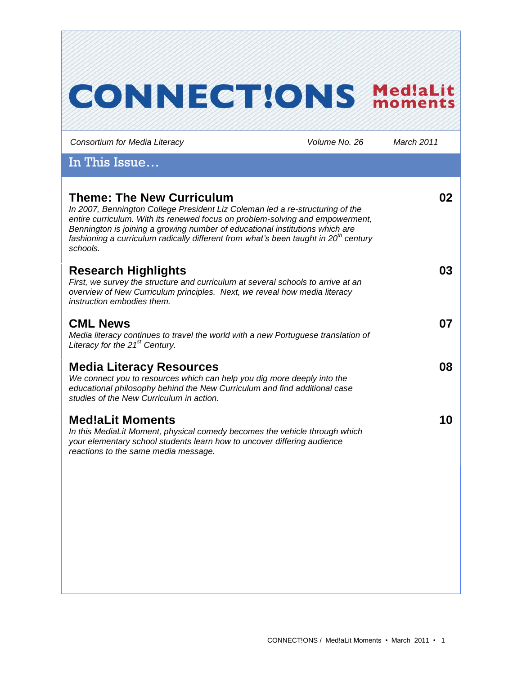# **CONNECT!ONS MediaLit**

*Consortium for Media Literacy Volume No. 26 March 2011* In This Issue… **Theme: The New Curriculum** *In 2007, Bennington College President Liz Coleman led a re-structuring of the entire curriculum. With its renewed focus on problem-solving and empowerment, Bennington is joining a growing number of educational institutions which are fashioning a curriculum radically different from what's been taught in 20th century schools.*  **02 Research Highlights** *First, we survey the structure and curriculum at several schools to arrive at an overview of New Curriculum principles. Next, we reveal how media literacy instruction embodies them.*  **03 CML News** *Media literacy continues to travel the world with a new Portuguese translation of Literacy for the 21st Century.* **07 Media Literacy Resources** *We connect you to resources which can help you dig more deeply into the educational philosophy behind the New Curriculum and find additional case studies of the New Curriculum in action.*  **08 Med!aLit Moments** *In this MediaLit Moment, physical comedy becomes the vehicle through which your elementary school students learn how to uncover differing audience reactions to the same media message.*  **10**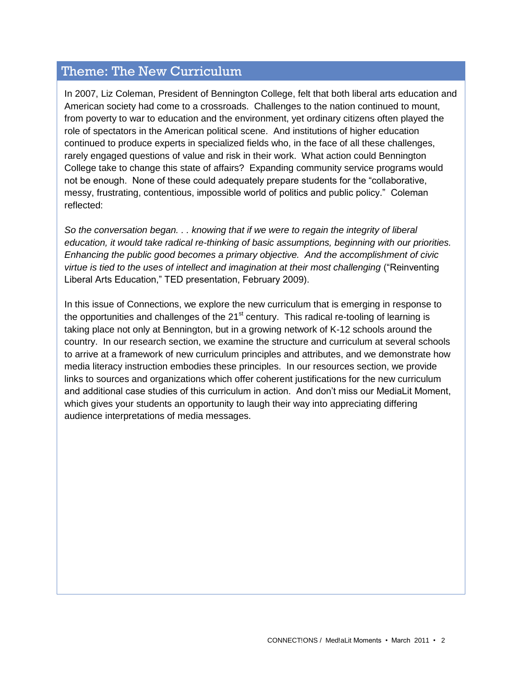# Theme: The New Curriculum

In 2007, Liz Coleman, President of Bennington College, felt that both liberal arts education and American society had come to a crossroads. Challenges to the nation continued to mount, from poverty to war to education and the environment, yet ordinary citizens often played the role of spectators in the American political scene. And institutions of higher education continued to produce experts in specialized fields who, in the face of all these challenges, rarely engaged questions of value and risk in their work. What action could Bennington College take to change this state of affairs? Expanding community service programs would not be enough. None of these could adequately prepare students for the "collaborative, messy, frustrating, contentious, impossible world of politics and public policy." Coleman reflected:

*So the conversation began. . . knowing that if we were to regain the integrity of liberal education, it would take radical re-thinking of basic assumptions, beginning with our priorities. Enhancing the public good becomes a primary objective. And the accomplishment of civic virtue is tied to the uses of intellect and imagination at their most challenging* ("Reinventing Liberal Arts Education," TED presentation, February 2009).

In this issue of Connections, we explore the new curriculum that is emerging in response to the opportunities and challenges of the  $21<sup>st</sup>$  century. This radical re-tooling of learning is taking place not only at Bennington, but in a growing network of K-12 schools around the country. In our research section, we examine the structure and curriculum at several schools to arrive at a framework of new curriculum principles and attributes, and we demonstrate how media literacy instruction embodies these principles. In our resources section, we provide links to sources and organizations which offer coherent justifications for the new curriculum and additional case studies of this curriculum in action. And don"t miss our MediaLit Moment, which gives your students an opportunity to laugh their way into appreciating differing audience interpretations of media messages.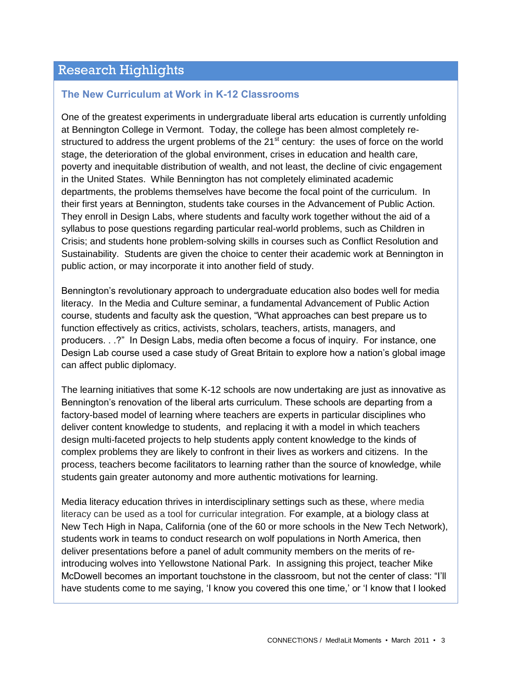# Research Highlights

#### **The New Curriculum at Work in K-12 Classrooms**

One of the greatest experiments in undergraduate liberal arts education is currently unfolding at Bennington College in Vermont. Today, the college has been almost completely restructured to address the urgent problems of the  $21<sup>st</sup>$  century: the uses of force on the world stage, the deterioration of the global environment, crises in education and health care, poverty and inequitable distribution of wealth, and not least, the decline of civic engagement in the United States. While Bennington has not completely eliminated academic departments, the problems themselves have become the focal point of the curriculum. In their first years at Bennington, students take courses in the Advancement of Public Action. They enroll in Design Labs, where students and faculty work together without the aid of a syllabus to pose questions regarding particular real-world problems, such as Children in Crisis; and students hone problem-solving skills in courses such as Conflict Resolution and Sustainability. Students are given the choice to center their academic work at Bennington in public action, or may incorporate it into another field of study.

Bennington's revolutionary approach to undergraduate education also bodes well for media literacy. In the Media and Culture seminar, a fundamental Advancement of Public Action course, students and faculty ask the question, "What approaches can best prepare us to function effectively as critics, activists, scholars, teachers, artists, managers, and producers. . .?" In Design Labs, media often become a focus of inquiry. For instance, one Design Lab course used a case study of Great Britain to explore how a nation"s global image can affect public diplomacy.

The learning initiatives that some K-12 schools are now undertaking are just as innovative as Bennington"s renovation of the liberal arts curriculum. These schools are departing from a factory-based model of learning where teachers are experts in particular disciplines who deliver content knowledge to students, and replacing it with a model in which teachers design multi-faceted projects to help students apply content knowledge to the kinds of complex problems they are likely to confront in their lives as workers and citizens. In the process, teachers become facilitators to learning rather than the source of knowledge, while students gain greater autonomy and more authentic motivations for learning.

Media literacy education thrives in interdisciplinary settings such as these, where media literacy can be used as a tool for curricular integration. For example, at a biology class at New Tech High in Napa, California (one of the 60 or more schools in the New Tech Network), students work in teams to conduct research on wolf populations in North America, then deliver presentations before a panel of adult community members on the merits of reintroducing wolves into Yellowstone National Park. In assigning this project, teacher Mike McDowell becomes an important touchstone in the classroom, but not the center of class: "I"ll have students come to me saying, 'I know you covered this one time,' or 'I know that I looked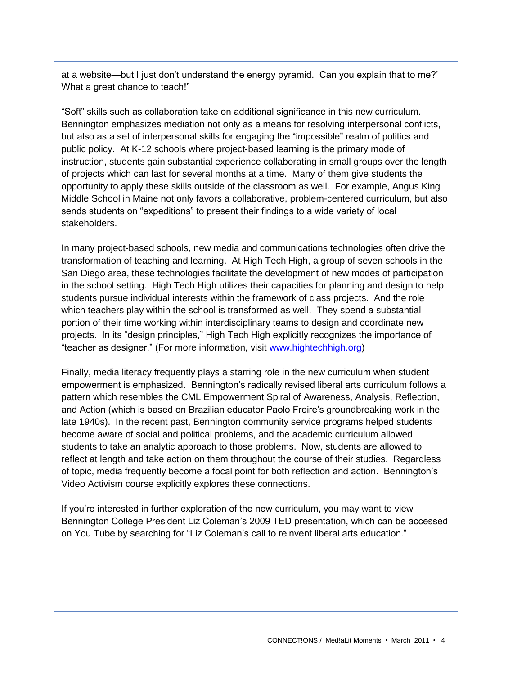at a website—but I just don"t understand the energy pyramid. Can you explain that to me?" What a great chance to teach!"

"Soft" skills such as collaboration take on additional significance in this new curriculum. Bennington emphasizes mediation not only as a means for resolving interpersonal conflicts, but also as a set of interpersonal skills for engaging the "impossible" realm of politics and public policy. At K-12 schools where project-based learning is the primary mode of instruction, students gain substantial experience collaborating in small groups over the length of projects which can last for several months at a time. Many of them give students the opportunity to apply these skills outside of the classroom as well. For example, Angus King Middle School in Maine not only favors a collaborative, problem-centered curriculum, but also sends students on "expeditions" to present their findings to a wide variety of local stakeholders.

In many project-based schools, new media and communications technologies often drive the transformation of teaching and learning. At High Tech High, a group of seven schools in the San Diego area, these technologies facilitate the development of new modes of participation in the school setting. High Tech High utilizes their capacities for planning and design to help students pursue individual interests within the framework of class projects. And the role which teachers play within the school is transformed as well. They spend a substantial portion of their time working within interdisciplinary teams to design and coordinate new projects. In its "design principles," High Tech High explicitly recognizes the importance of "teacher as designer." (For more information, visit [www.hightechhigh.org\)](http://www.hightechhigh.org/)

Finally, media literacy frequently plays a starring role in the new curriculum when student empowerment is emphasized. Bennington"s radically revised liberal arts curriculum follows a pattern which resembles the CML Empowerment Spiral of Awareness, Analysis, Reflection, and Action (which is based on Brazilian educator Paolo Freire"s groundbreaking work in the late 1940s). In the recent past, Bennington community service programs helped students become aware of social and political problems, and the academic curriculum allowed students to take an analytic approach to those problems. Now, students are allowed to reflect at length and take action on them throughout the course of their studies. Regardless of topic, media frequently become a focal point for both reflection and action. Bennington"s Video Activism course explicitly explores these connections.

If you"re interested in further exploration of the new curriculum, you may want to view Bennington College President Liz Coleman"s 2009 TED presentation, which can be accessed on You Tube by searching for "Liz Coleman"s call to reinvent liberal arts education."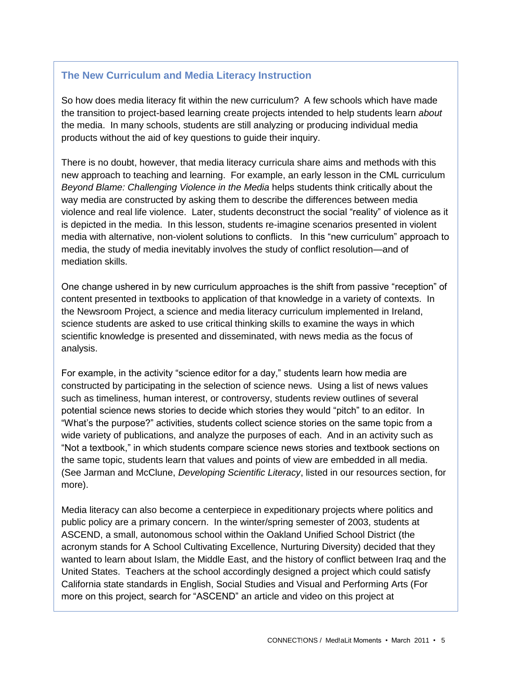#### **The New Curriculum and Media Literacy Instruction**

So how does media literacy fit within the new curriculum? A few schools which have made the transition to project-based learning create projects intended to help students learn *about* the media. In many schools, students are still analyzing or producing individual media products without the aid of key questions to guide their inquiry.

There is no doubt, however, that media literacy curricula share aims and methods with this new approach to teaching and learning. For example, an early lesson in the CML curriculum *Beyond Blame: Challenging Violence in the Media* helps students think critically about the way media are constructed by asking them to describe the differences between media violence and real life violence. Later, students deconstruct the social "reality" of violence as it is depicted in the media. In this lesson, students re-imagine scenarios presented in violent media with alternative, non-violent solutions to conflicts. In this "new curriculum" approach to media, the study of media inevitably involves the study of conflict resolution—and of mediation skills.

One change ushered in by new curriculum approaches is the shift from passive "reception" of content presented in textbooks to application of that knowledge in a variety of contexts. In the Newsroom Project, a science and media literacy curriculum implemented in Ireland, science students are asked to use critical thinking skills to examine the ways in which scientific knowledge is presented and disseminated, with news media as the focus of analysis.

For example, in the activity "science editor for a day," students learn how media are constructed by participating in the selection of science news. Using a list of news values such as timeliness, human interest, or controversy, students review outlines of several potential science news stories to decide which stories they would "pitch" to an editor. In "What"s the purpose?" activities, students collect science stories on the same topic from a wide variety of publications, and analyze the purposes of each. And in an activity such as "Not a textbook," in which students compare science news stories and textbook sections on the same topic, students learn that values and points of view are embedded in all media. (See Jarman and McClune, *Developing Scientific Literacy*, listed in our resources section, for more).

Media literacy can also become a centerpiece in expeditionary projects where politics and public policy are a primary concern. In the winter/spring semester of 2003, students at ASCEND, a small, autonomous school within the Oakland Unified School District (the acronym stands for A School Cultivating Excellence, Nurturing Diversity) decided that they wanted to learn about Islam, the Middle East, and the history of conflict between Iraq and the United States. Teachers at the school accordingly designed a project which could satisfy California state standards in English, Social Studies and Visual and Performing Arts (For more on this project, search for "ASCEND" an article and video on this project at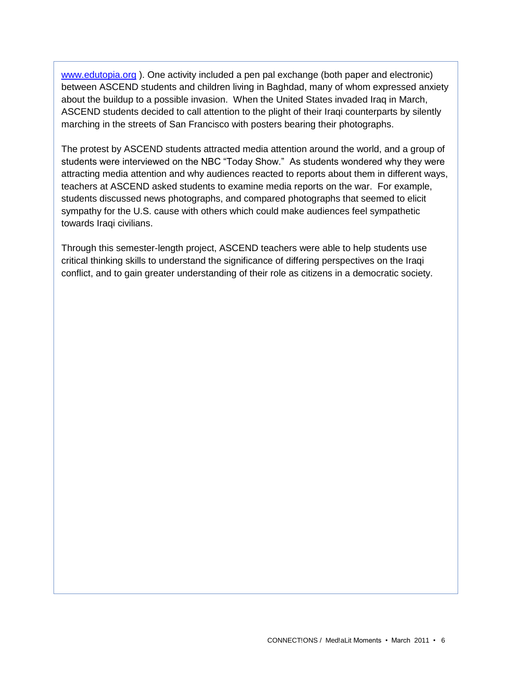[www.edutopia.org](http://www.edutopia.org/) ). One activity included a pen pal exchange (both paper and electronic) between ASCEND students and children living in Baghdad, many of whom expressed anxiety about the buildup to a possible invasion. When the United States invaded Iraq in March, ASCEND students decided to call attention to the plight of their Iraqi counterparts by silently marching in the streets of San Francisco with posters bearing their photographs.

The protest by ASCEND students attracted media attention around the world, and a group of students were interviewed on the NBC "Today Show." As students wondered why they were attracting media attention and why audiences reacted to reports about them in different ways, teachers at ASCEND asked students to examine media reports on the war. For example, students discussed news photographs, and compared photographs that seemed to elicit sympathy for the U.S. cause with others which could make audiences feel sympathetic towards Iraqi civilians.

Through this semester-length project, ASCEND teachers were able to help students use critical thinking skills to understand the significance of differing perspectives on the Iraqi conflict, and to gain greater understanding of their role as citizens in a democratic society.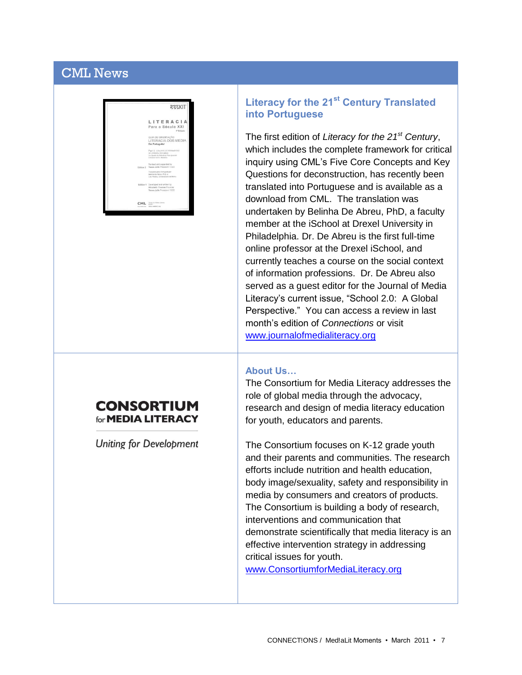# CML News



### **CONSORTIUM** for **MEDIA LITERACY**

Uniting for Development

## **Literacy for the 21st Century Translated into Portuguese**

The first edition of *Literacy for the 21st Century*, which includes the complete framework for critical inquiry using CML"s Five Core Concepts and Key Questions for deconstruction, has recently been translated into Portuguese and is available as a download from CML. The translation was undertaken by Belinha De Abreu, PhD, a faculty member at the iSchool at Drexel University in Philadelphia. Dr. De Abreu is the first full-time online professor at the Drexel iSchool, and currently teaches a course on the social context of information professions. Dr. De Abreu also served as a guest editor for the Journal of Media Literacy"s current issue, "School 2.0: A Global Perspective." You can access a review in last month"s edition of *Connections* or visit [www.journalofmedialiteracy.org](http://www.journalofmedialiteracy.org/) 

#### **About Us…**

The Consortium for Media Literacy addresses the role of global media through the advocacy, research and design of media literacy education for youth, educators and parents.

The Consortium focuses on K-12 grade youth and their parents and communities. The research efforts include nutrition and health education, body image/sexuality, safety and responsibility in media by consumers and creators of products. The Consortium is building a body of research, interventions and communication that demonstrate scientifically that media literacy is an effective intervention strategy in addressing critical issues for youth.

[www.ConsortiumforMediaLiteracy.org](http://www.consortiumformedialiteracy.org/)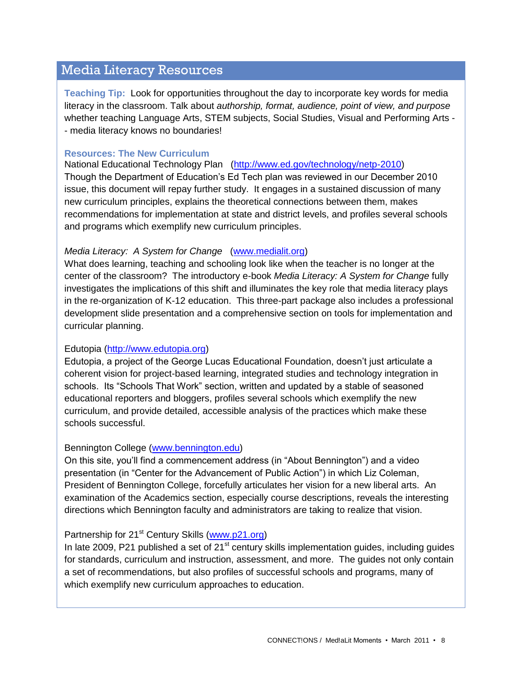## Media Literacy Resources

**Teaching Tip:** Look for opportunities throughout the day to incorporate key words for media literacy in the classroom. Talk about *authorship, format, audience, point of view, and purpose* whether teaching Language Arts, STEM subjects, Social Studies, Visual and Performing Arts - - media literacy knows no boundaries!

#### **Resources: The New Curriculum**

National Educational Technology Plan [\(http://www.ed.gov/technology/netp-2010\)](http://www.ed.gov/technology/netp-2010) Though the Department of Education"s Ed Tech plan was reviewed in our December 2010 issue, this document will repay further study. It engages in a sustained discussion of many new curriculum principles, explains the theoretical connections between them, makes recommendations for implementation at state and district levels, and profiles several schools and programs which exemplify new curriculum principles.

#### *Media Literacy: A System for Change* [\(www.medialit.org\)](http://www.medialit.org/)

What does learning, teaching and schooling look like when the teacher is no longer at the center of the classroom? The introductory e-book *Media Literacy: A System for Change* fully investigates the implications of this shift and illuminates the key role that media literacy plays in the re-organization of K-12 education. This three-part package also includes a professional development slide presentation and a comprehensive section on tools for implementation and curricular planning.

#### Edutopia [\(http://www.edutopia.org\)](http://www.edutopia.org/)

Edutopia, a project of the George Lucas Educational Foundation, doesn"t just articulate a coherent vision for project-based learning, integrated studies and technology integration in schools. Its "Schools That Work" section, written and updated by a stable of seasoned educational reporters and bloggers, profiles several schools which exemplify the new curriculum, and provide detailed, accessible analysis of the practices which make these schools successful.

#### Bennington College [\(www.bennington.edu\)](http://www.bennington.edu/)

On this site, you"ll find a commencement address (in "About Bennington") and a video presentation (in "Center for the Advancement of Public Action") in which Liz Coleman, President of Bennington College, forcefully articulates her vision for a new liberal arts. An examination of the Academics section, especially course descriptions, reveals the interesting directions which Bennington faculty and administrators are taking to realize that vision.

#### Partnership for  $21<sup>st</sup>$  Century Skills [\(www.p21.org\)](http://www.p21.org/)

In late 2009, P21 published a set of  $21<sup>st</sup>$  century skills implementation guides, including guides for standards, curriculum and instruction, assessment, and more. The guides not only contain a set of recommendations, but also profiles of successful schools and programs, many of which exemplify new curriculum approaches to education.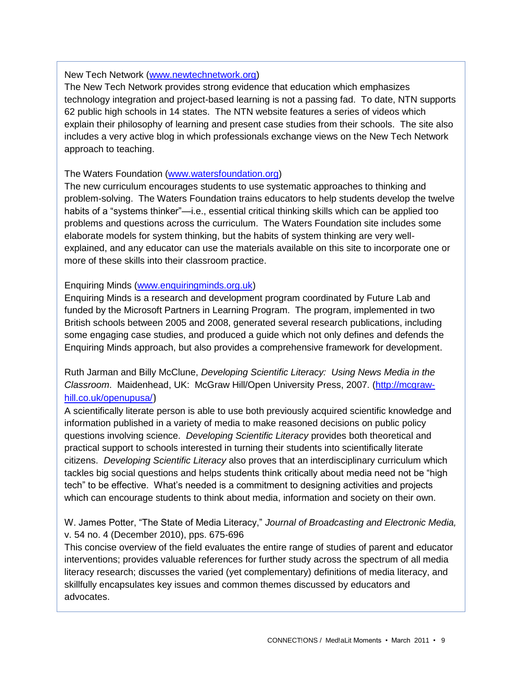#### New Tech Network [\(www.newtechnetwork.org\)](http://www.newtechnetwork.org/)

The New Tech Network provides strong evidence that education which emphasizes technology integration and project-based learning is not a passing fad. To date, NTN supports 62 public high schools in 14 states. The NTN website features a series of videos which explain their philosophy of learning and present case studies from their schools. The site also includes a very active blog in which professionals exchange views on the New Tech Network approach to teaching.

#### The Waters Foundation [\(www.watersfoundation.org\)](http://www.watersfoundation.org/)

The new curriculum encourages students to use systematic approaches to thinking and problem-solving. The Waters Foundation trains educators to help students develop the twelve habits of a "systems thinker"—i.e., essential critical thinking skills which can be applied too problems and questions across the curriculum. The Waters Foundation site includes some elaborate models for system thinking, but the habits of system thinking are very wellexplained, and any educator can use the materials available on this site to incorporate one or more of these skills into their classroom practice.

#### Enquiring Minds [\(www.enquiringminds.org.uk\)](http://www.enquiringminds.org.uk/)

Enquiring Minds is a research and development program coordinated by Future Lab and funded by the Microsoft Partners in Learning Program. The program, implemented in two British schools between 2005 and 2008, generated several research publications, including some engaging case studies, and produced a guide which not only defines and defends the Enquiring Minds approach, but also provides a comprehensive framework for development.

Ruth Jarman and Billy McClune, *Developing Scientific Literacy: Using News Media in the Classroom*. Maidenhead, UK: McGraw Hill/Open University Press, 2007. [\(http://mcgraw](http://mcgraw-hill.co.uk/openupusa/)[hill.co.uk/openupusa/](http://mcgraw-hill.co.uk/openupusa/))

A scientifically literate person is able to use both previously acquired scientific knowledge and information published in a variety of media to make reasoned decisions on public policy questions involving science. *Developing Scientific Literacy* provides both theoretical and practical support to schools interested in turning their students into scientifically literate citizens. *Developing Scientific Literacy* also proves that an interdisciplinary curriculum which tackles big social questions and helps students think critically about media need not be "high tech" to be effective. What's needed is a commitment to designing activities and projects which can encourage students to think about media, information and society on their own.

W. James Potter, "The State of Media Literacy," *Journal of Broadcasting and Electronic Media,* v. 54 no. 4 (December 2010), pps. 675-696

This concise overview of the field evaluates the entire range of studies of parent and educator interventions; provides valuable references for further study across the spectrum of all media literacy research; discusses the varied (yet complementary) definitions of media literacy, and skillfully encapsulates key issues and common themes discussed by educators and advocates.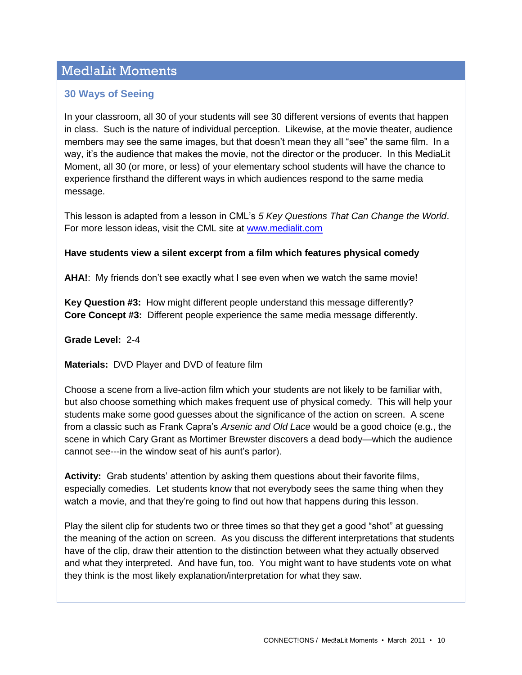# Med!aLit Moments

#### **30 Ways of Seeing**

In your classroom, all 30 of your students will see 30 different versions of events that happen in class. Such is the nature of individual perception. Likewise, at the movie theater, audience members may see the same images, but that doesn"t mean they all "see" the same film. In a way, it's the audience that makes the movie, not the director or the producer. In this MediaLit Moment, all 30 (or more, or less) of your elementary school students will have the chance to experience firsthand the different ways in which audiences respond to the same media message.

This lesson is adapted from a lesson in CML"s *5 Key Questions That Can Change the World*. For more lesson ideas, visit the CML site at [www.medialit.com](http://www.medialit.com/)

#### **Have students view a silent excerpt from a film which features physical comedy**

AHA!: My friends don't see exactly what I see even when we watch the same movie!

**Key Question #3:** How might different people understand this message differently? **Core Concept #3:** Different people experience the same media message differently.

**Grade Level:** 2-4

**Materials:** DVD Player and DVD of feature film

Choose a scene from a live-action film which your students are not likely to be familiar with, but also choose something which makes frequent use of physical comedy. This will help your students make some good guesses about the significance of the action on screen. A scene from a classic such as Frank Capra"s *Arsenic and Old Lace* would be a good choice (e.g., the scene in which Cary Grant as Mortimer Brewster discovers a dead body—which the audience cannot see---in the window seat of his aunt"s parlor).

**Activity:** Grab students" attention by asking them questions about their favorite films, especially comedies. Let students know that not everybody sees the same thing when they watch a movie, and that they're going to find out how that happens during this lesson.

Play the silent clip for students two or three times so that they get a good "shot" at guessing the meaning of the action on screen. As you discuss the different interpretations that students have of the clip, draw their attention to the distinction between what they actually observed and what they interpreted. And have fun, too. You might want to have students vote on what they think is the most likely explanation/interpretation for what they saw.